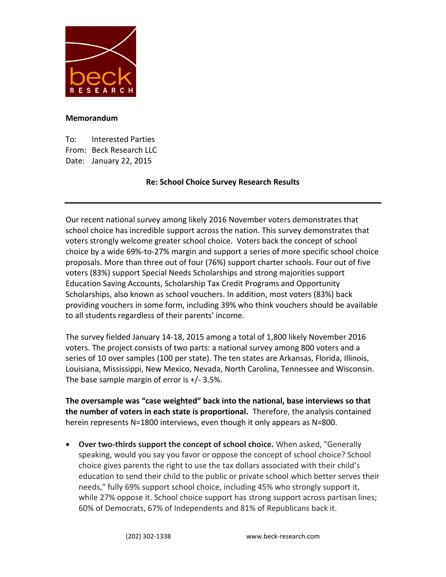

## **Memorandum**

To: Interested Parties From: Beck Research LLC Date: January 22, 2015

# **Re: School Choice Survey Research Results**

Our recent national survey among likely 2016 November voters demonstrates that school choice has incredible support across the nation. This survey demonstrates that voters strongly welcome greater school choice. Voters back the concept of school choice by a wide 69%-to-27% margin and support a series of more specific school choice proposals. More than three out of four (76%) support charter schools. Four out of five voters (83%) support Special Needs Scholarships and strong majorities support Education Saving Accounts, Scholarship Tax Credit Programs and Opportunity Scholarships, also known as school vouchers. In addition, most voters (83%) back providing vouchers in some form, including 39% who think vouchers should be available to all students regardless of their parents' income.

The survey fielded January 14-18, 2015 among a total of 1,800 likely November 2016 voters. The project consists of two parts: a national survey among 800 voters and a series of 10 over samples (100 per state). The ten states are Arkansas, Florida, Illinois, Louisiana, Mississippi, New Mexico, Nevada, North Carolina, Tennessee and Wisconsin. The base sample margin of error is  $+/- 3.5\%$ .

**The oversample was "case weighted" back into the national, base interviews so that the number of voters in each state is proportional.** Therefore, the analysis contained herein represents N=1800 interviews, even though it only appears as N=800.

 **Over two-thirds support the concept of school choice.** When asked, "Generally speaking, would you say you favor or oppose the concept of school choice? School choice gives parents the right to use the tax dollars associated with their child's education to send their child to the public or private school which better serves their needs," fully 69% support school choice, including 45% who strongly support it, while 27% oppose it. School choice support has strong support across partisan lines; 60% of Democrats, 67% of Independents and 81% of Republicans back it.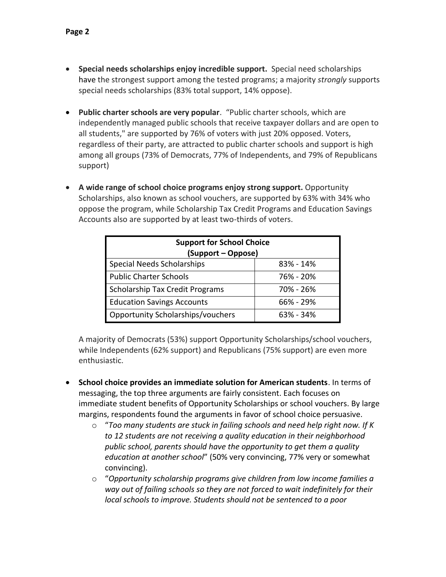- **Special needs scholarships enjoy incredible support.** Special need scholarships have the strongest support among the tested programs; a majority *strongly* supports special needs scholarships (83% total support, 14% oppose).
- **Public charter schools are very popular**. "Public charter schools, which are independently managed public schools that receive taxpayer dollars and are open to all students," are supported by 76% of voters with just 20% opposed. Voters, regardless of their party, are attracted to public charter schools and support is high among all groups (73% of Democrats, 77% of Independents, and 79% of Republicans support)
- **A wide range of school choice programs enjoy strong support.** Opportunity Scholarships, also known as school vouchers, are supported by 63% with 34% who oppose the program, while Scholarship Tax Credit Programs and Education Savings Accounts also are supported by at least two-thirds of voters.

| <b>Support for School Choice</b><br>(Support – Oppose) |               |  |  |  |  |
|--------------------------------------------------------|---------------|--|--|--|--|
| <b>Special Needs Scholarships</b>                      | $83\% - 14\%$ |  |  |  |  |
| <b>Public Charter Schools</b>                          | 76% - 20%     |  |  |  |  |
| <b>Scholarship Tax Credit Programs</b>                 | 70% - 26%     |  |  |  |  |
| <b>Education Savings Accounts</b>                      | $66\% - 29\%$ |  |  |  |  |
| <b>Opportunity Scholarships/vouchers</b>               | 63% - 34%     |  |  |  |  |

A majority of Democrats (53%) support Opportunity Scholarships/school vouchers, while Independents (62% support) and Republicans (75% support) are even more enthusiastic.

- **School choice provides an immediate solution for American students**. In terms of messaging, the top three arguments are fairly consistent. Each focuses on immediate student benefits of Opportunity Scholarships or school vouchers. By large margins, respondents found the arguments in favor of school choice persuasive.
	- o "*Too many students are stuck in failing schools and need help right now. If K to 12 students are not receiving a quality education in their neighborhood public school, parents should have the opportunity to get them a quality education at another school*" (50% very convincing, 77% very or somewhat convincing).
	- o "*Opportunity scholarship programs give children from low income families a way out of failing schools so they are not forced to wait indefinitely for their local schools to improve. Students should not be sentenced to a poor*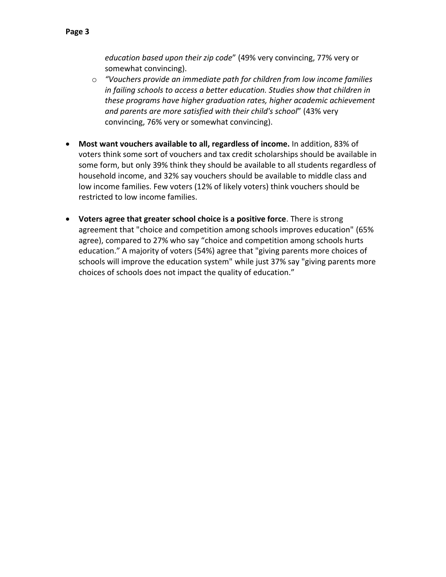- o *"Vouchers provide an immediate path for children from low income families in failing schools to access a better education. Studies show that children in these programs have higher graduation rates, higher academic achievement and parents are more satisfied with their child's school*" (43% very convincing, 76% very or somewhat convincing).
- **Most want vouchers available to all, regardless of income.** In addition, 83% of voters think some sort of vouchers and tax credit scholarships should be available in some form, but only 39% think they should be available to all students regardless of household income, and 32% say vouchers should be available to middle class and low income families. Few voters (12% of likely voters) think vouchers should be restricted to low income families.
- **Voters agree that greater school choice is a positive force**. There is strong agreement that "choice and competition among schools improves education" (65% agree), compared to 27% who say "choice and competition among schools hurts education." A majority of voters (54%) agree that "giving parents more choices of schools will improve the education system" while just 37% say "giving parents more choices of schools does not impact the quality of education."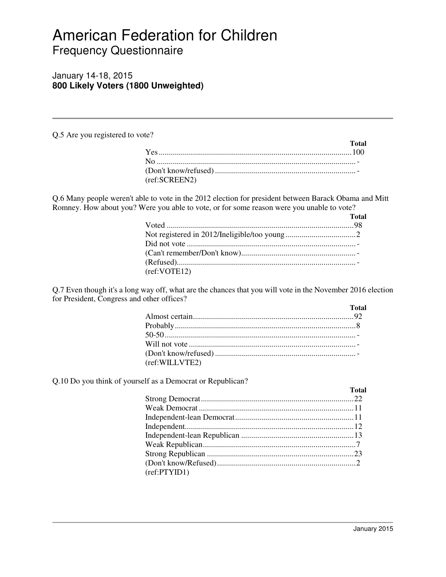# American Federation for Children Frequency Questionnaire

# January 14-18, 2015 **800 Likely Voters (1800 Unweighted)**

Q.5 Are you registered to vote?

|               | Total |
|---------------|-------|
|               |       |
|               |       |
|               |       |
| (ref:SCREEN2) |       |

Q.6 Many people weren't able to vote in the 2012 election for president between Barack Obama and Mitt Romney. How about you? Were you able to vote, or for some reason were you unable to vote?

|              | <b>Total</b> |
|--------------|--------------|
|              |              |
|              |              |
|              |              |
|              |              |
|              |              |
| (ref:VOTE12) |              |

Q.7 Even though it's a long way off, what are the chances that you will vote in the November 2016 election for President, Congress and other offices?

|                | <b>Total</b> |
|----------------|--------------|
|                |              |
|                |              |
|                |              |
|                |              |
|                |              |
| (ref:WILLVTE2) |              |

Q.10 Do you think of yourself as a Democrat or Republican?

|              | <b>Total</b> |
|--------------|--------------|
|              |              |
|              |              |
|              |              |
|              |              |
|              |              |
|              |              |
|              |              |
|              |              |
| (ref:PTYID1) |              |
|              |              |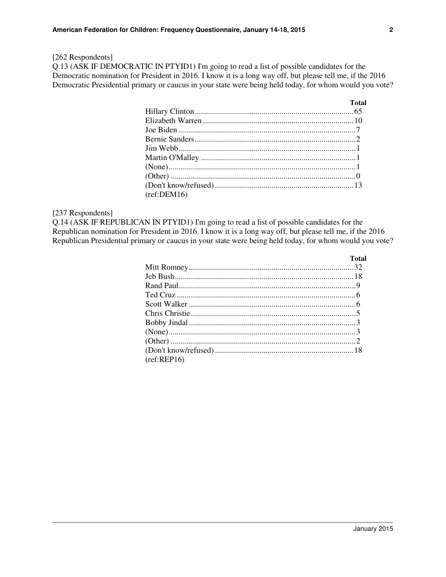## [262 Respondents]

Q.13 (ASK IF DEMOCRATIC IN PTYID1) I'm going to read a list of possible candidates for the Democratic nomination for President in 2016. I know it is a long way off, but please tell me, if the 2016 Democratic Presidential primary or caucus in your state were being held today, for whom would you vote?

|             | <b>Total</b> |
|-------------|--------------|
|             |              |
|             |              |
|             |              |
|             |              |
|             |              |
|             |              |
|             |              |
|             |              |
|             |              |
| (ref:DEM16) |              |

#### [237 Respondents]

Q.14 (ASK IF REPUBLICAN IN PTYID1) I'm going to read a list of possible candidates for the Republican nomination for President in 2016. I know it is a long way off, but please tell me, if the 2016 Republican Presidential primary or caucus in your state were being held today, for whom would you vote?

|             | Total |
|-------------|-------|
|             |       |
|             |       |
|             |       |
|             |       |
|             |       |
|             |       |
|             |       |
|             |       |
|             |       |
|             |       |
| (ref:REP16) |       |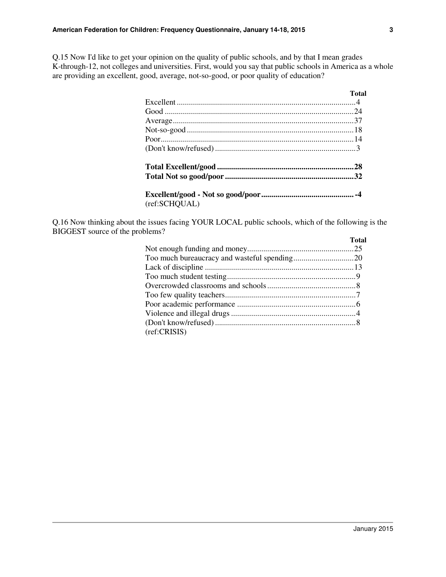Q.15 Now I'd like to get your opinion on the quality of public schools, and by that I mean grades K-through-12, not colleges and universities. First, would you say that public schools in America as a whole are providing an excellent, good, average, not-so-good, or poor quality of education?

|               | <b>Total</b> |
|---------------|--------------|
|               |              |
|               |              |
|               |              |
|               |              |
|               |              |
|               |              |
|               |              |
|               |              |
|               |              |
| (ref:SCHQUAL) |              |

Q.16 Now thinking about the issues facing YOUR LOCAL public schools, which of the following is the BIGGEST source of the problems?

|              | <b>Total</b> |
|--------------|--------------|
|              |              |
|              |              |
|              |              |
|              |              |
|              |              |
|              |              |
|              |              |
|              |              |
|              |              |
| (ref:CRISIS) |              |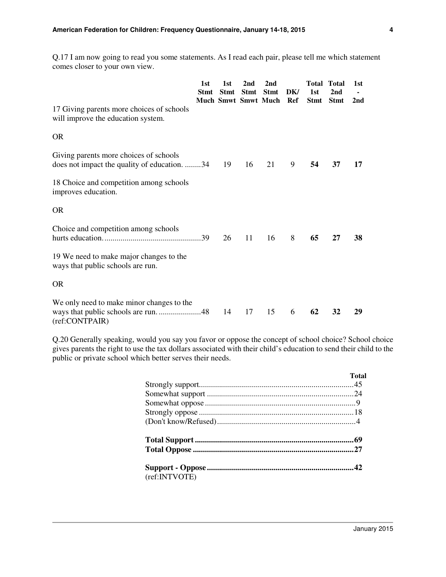Q.17 I am now going to read you some statements. As I read each pair, please tell me which statement comes closer to your own view.

|                                                                                                     | 1st<br><b>Stmt</b> | 1st<br><b>Stmt</b><br><b>Much Smwt Smwt Much</b> | 2nd<br><b>Stmt</b> | 2nd<br><b>Stmt</b> | DK/<br>Ref | Total<br>1st<br><b>Stmt</b> | <b>Total</b><br>2nd<br><b>Stmt</b> | 1st<br>2nd |
|-----------------------------------------------------------------------------------------------------|--------------------|--------------------------------------------------|--------------------|--------------------|------------|-----------------------------|------------------------------------|------------|
| 17 Giving parents more choices of schools<br>will improve the education system.                     |                    |                                                  |                    |                    |            |                             |                                    |            |
| <b>OR</b>                                                                                           |                    |                                                  |                    |                    |            |                             |                                    |            |
| Giving parents more choices of schools<br>does not impact the quality of education. 34              |                    | 19                                               | 16                 | 21                 | 9          | 54                          | 37                                 | 17         |
| 18 Choice and competition among schools<br>improves education.                                      |                    |                                                  |                    |                    |            |                             |                                    |            |
| <b>OR</b>                                                                                           |                    |                                                  |                    |                    |            |                             |                                    |            |
| Choice and competition among schools                                                                |                    | 26                                               | 11                 | 16                 | 8          | 65                          | 27                                 | 38         |
| 19 We need to make major changes to the<br>ways that public schools are run.                        |                    |                                                  |                    |                    |            |                             |                                    |            |
| <b>OR</b>                                                                                           |                    |                                                  |                    |                    |            |                             |                                    |            |
| We only need to make minor changes to the<br>ways that public schools are run. 48<br>(ref:CONTPAIR) |                    | 14                                               | 17                 | 15                 | 6          | 62                          | 32                                 | 29         |

Q.20 Generally speaking, would you say you favor or oppose the concept of school choice? School choice gives parents the right to use the tax dollars associated with their child's education to send their child to the public or private school which better serves their needs.

|               | <b>Total</b> |
|---------------|--------------|
|               |              |
|               |              |
|               |              |
|               |              |
|               |              |
|               |              |
|               |              |
|               |              |
|               |              |
|               |              |
| (ref:INTVOTE) |              |
|               |              |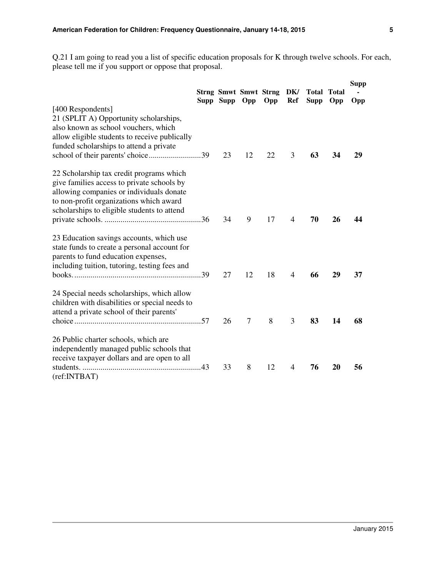Q.21 I am going to read you a list of specific education proposals for K through twelve schools. For each, please tell me if you support or oppose that proposal.

|                                                                                                                                                                                                                              | Supp Supp Opp |                | <b>Strng Smwt Smwt Strng</b><br>Opp | DK/<br>Ref     | Total<br><b>Supp</b> | <b>Total</b><br>Opp | <b>Supp</b><br><b>Opp</b> |
|------------------------------------------------------------------------------------------------------------------------------------------------------------------------------------------------------------------------------|---------------|----------------|-------------------------------------|----------------|----------------------|---------------------|---------------------------|
| [400 Respondents]<br>21 (SPLIT A) Opportunity scholarships,<br>also known as school vouchers, which<br>allow eligible students to receive publically<br>funded scholarships to attend a private                              | 23            | 12             | 22                                  | 3              | 63                   | 34                  | 29                        |
| 22 Scholarship tax credit programs which<br>give families access to private schools by<br>allowing companies or individuals donate<br>to non-profit organizations which award<br>scholarships to eligible students to attend | 34            | 9              | 17                                  | $\overline{4}$ | 70                   | 26                  | 44                        |
| 23 Education savings accounts, which use<br>state funds to create a personal account for<br>parents to fund education expenses,<br>including tuition, tutoring, testing fees and                                             | 27            | 12             | 18                                  | 4              | 66                   | 29                  | 37                        |
| 24 Special needs scholarships, which allow<br>children with disabilities or special needs to<br>attend a private school of their parents'                                                                                    | 26            | $\overline{7}$ | 8                                   | 3              | 83                   | 14                  | 68                        |
| 26 Public charter schools, which are<br>independently managed public schools that<br>receive taxpayer dollars and are open to all                                                                                            | 33            | 8              | 12                                  | 4              | 76                   | 20                  | 56                        |
| (ref:INTBAT)                                                                                                                                                                                                                 |               |                |                                     |                |                      |                     |                           |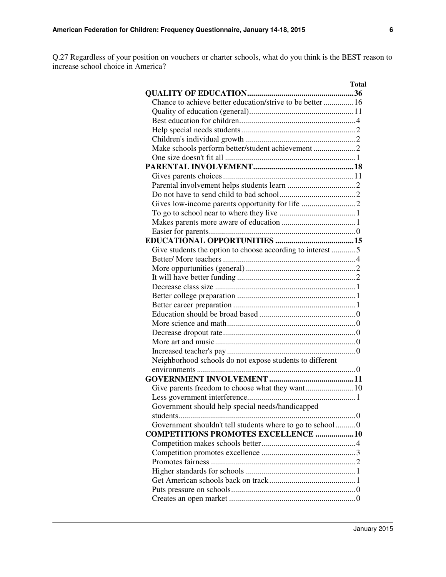Q.27 Regardless of your position on vouchers or charter schools, what do you think is the BEST reason to increase school choice in America?

| Total                                                       |  |
|-------------------------------------------------------------|--|
|                                                             |  |
| Chance to achieve better education/strive to be better  16  |  |
|                                                             |  |
|                                                             |  |
|                                                             |  |
|                                                             |  |
| Make schools perform better/student achievement 2           |  |
|                                                             |  |
|                                                             |  |
|                                                             |  |
|                                                             |  |
|                                                             |  |
| Gives low-income parents opportunity for life 2             |  |
|                                                             |  |
|                                                             |  |
|                                                             |  |
|                                                             |  |
|                                                             |  |
| Give students the option to choose according to interest 5  |  |
|                                                             |  |
|                                                             |  |
|                                                             |  |
|                                                             |  |
|                                                             |  |
|                                                             |  |
|                                                             |  |
|                                                             |  |
|                                                             |  |
|                                                             |  |
|                                                             |  |
| Neighborhood schools do not expose students to different    |  |
|                                                             |  |
|                                                             |  |
|                                                             |  |
|                                                             |  |
| Government should help special needs/handicapped            |  |
| students                                                    |  |
| Government shouldn't tell students where to go to school  0 |  |
| <b>COMPETITIONS PROMOTES EXCELLENCE  10</b>                 |  |
|                                                             |  |
|                                                             |  |
|                                                             |  |
|                                                             |  |
|                                                             |  |
|                                                             |  |
|                                                             |  |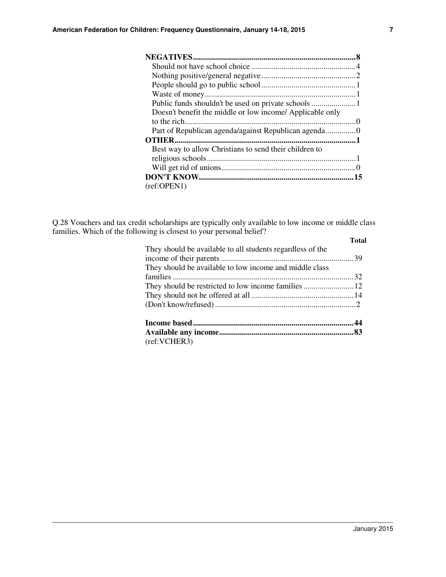| Doesn't benefit the middle or low income/ Applicable only |
|-----------------------------------------------------------|
|                                                           |
| Part of Republican agenda/against Republican agenda0      |
|                                                           |
| Best way to allow Christians to send their children to    |
|                                                           |
|                                                           |
|                                                           |
| (ref:OPEN1)                                               |

Q.28 Vouchers and tax credit scholarships are typically only available to low income or middle class families. Which of the following is closest to your personal belief?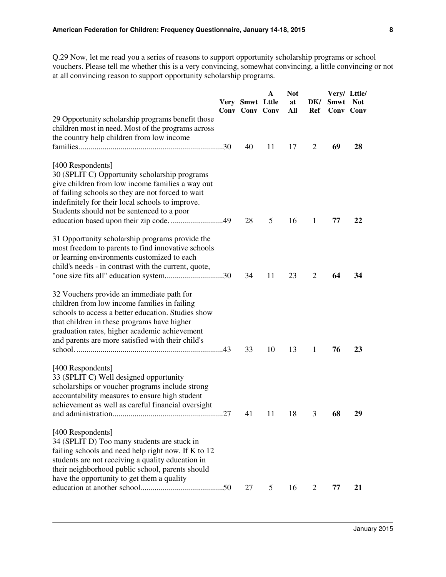Q.29 Now, let me read you a series of reasons to support opportunity scholarship programs or school vouchers. Please tell me whether this is a very convincing, somewhat convincing, a little convincing or not at all convincing reason to support opportunity scholarship programs.

|                                                                                                                                                                                                                                                                                                                        | Very Smwt Lttle<br>Conv Conv Conv | $\mathbf A$ | <b>Not</b><br>at<br>All | DK/<br>Ref     | Smwt<br>Conv Conv | Very/ Lttle/<br><b>Not</b> |
|------------------------------------------------------------------------------------------------------------------------------------------------------------------------------------------------------------------------------------------------------------------------------------------------------------------------|-----------------------------------|-------------|-------------------------|----------------|-------------------|----------------------------|
| 29 Opportunity scholarship programs benefit those<br>children most in need. Most of the programs across<br>the country help children from low income                                                                                                                                                                   | 40                                | 11          | 17                      | 2              | 69                | 28                         |
| [400 Respondents]<br>30 (SPLIT C) Opportunity scholarship programs<br>give children from low income families a way out<br>of failing schools so they are not forced to wait<br>indefinitely for their local schools to improve.<br>Students should not be sentenced to a poor<br>education based upon their zip code49 | 28                                | 5           | 16                      | $\mathbf{1}$   | 77                | 22                         |
| 31 Opportunity scholarship programs provide the<br>most freedom to parents to find innovative schools<br>or learning environments customized to each<br>child's needs - in contrast with the current, quote,<br>"one size fits all" education system30                                                                 | 34                                | 11          | 23                      | $\overline{2}$ | 64                | 34                         |
| 32 Vouchers provide an immediate path for<br>children from low income families in failing<br>schools to access a better education. Studies show<br>that children in these programs have higher<br>graduation rates, higher academic achievement<br>and parents are more satisfied with their child's                   | 33                                | 10          | 13                      | 1              | 76                | 23                         |
| [400 Respondents]<br>33 (SPLIT C) Well designed opportunity<br>scholarships or voucher programs include strong<br>accountability measures to ensure high student<br>achievement as well as careful financial oversight                                                                                                 | 41                                | 11          | 18                      | 3              | 68                | 29                         |
| [400 Respondents]<br>34 (SPLIT D) Too many students are stuck in<br>failing schools and need help right now. If K to 12<br>students are not receiving a quality education in<br>their neighborhood public school, parents should<br>have the opportunity to get them a quality                                         | 27                                | 5           | 16                      | 2              | 77                | 21                         |
|                                                                                                                                                                                                                                                                                                                        |                                   |             |                         |                |                   |                            |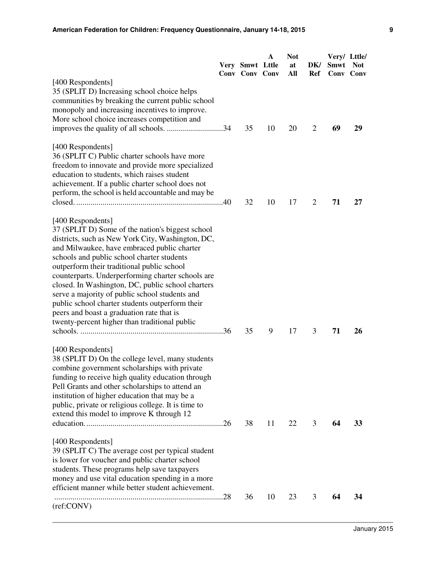|                                                                                                                                                                                                                                                                                                                                                                                                                                                                                                                                                                                    | Very Smwt Lttle<br>Conv Conv Conv | $\mathbf{A}$ | <b>Not</b><br>at<br>All | DK/<br>Ref     | Very/ Lttle/<br><b>Smwt</b> | <b>Not</b><br><b>Conv</b> Conv |
|------------------------------------------------------------------------------------------------------------------------------------------------------------------------------------------------------------------------------------------------------------------------------------------------------------------------------------------------------------------------------------------------------------------------------------------------------------------------------------------------------------------------------------------------------------------------------------|-----------------------------------|--------------|-------------------------|----------------|-----------------------------|--------------------------------|
| [400 Respondents]<br>35 (SPLIT D) Increasing school choice helps<br>communities by breaking the current public school<br>monopoly and increasing incentives to improve.<br>More school choice increases competition and                                                                                                                                                                                                                                                                                                                                                            | 35                                | 10           | 20                      | $\overline{2}$ | 69                          | 29                             |
| [400 Respondents]<br>36 (SPLIT C) Public charter schools have more<br>freedom to innovate and provide more specialized<br>education to students, which raises student<br>achievement. If a public charter school does not<br>perform, the school is held accountable and may be                                                                                                                                                                                                                                                                                                    | 32                                | 10           | 17                      | 2              | 71                          | 27                             |
| [400 Respondents]<br>37 (SPLIT D) Some of the nation's biggest school<br>districts, such as New York City, Washington, DC,<br>and Milwaukee, have embraced public charter<br>schools and public school charter students<br>outperform their traditional public school<br>counterparts. Underperforming charter schools are<br>closed. In Washington, DC, public school charters<br>serve a majority of public school students and<br>public school charter students outperform their<br>peers and boast a graduation rate that is<br>twenty-percent higher than traditional public | 35                                | 9            | 17                      | 3              | 71                          | 26                             |
| [400 Respondents]<br>38 (SPLIT D) On the college level, many students<br>combine government scholarships with private<br>funding to receive high quality education through<br>Pell Grants and other scholarships to attend an<br>institution of higher education that may be a<br>public, private or religious college. It is time to<br>extend this model to improve K through 12                                                                                                                                                                                                 | 38                                | 11           | 22                      | 3              | 64                          | 33                             |
| [400 Respondents]<br>39 (SPLIT C) The average cost per typical student<br>is lower for voucher and public charter school<br>students. These programs help save taxpayers<br>money and use vital education spending in a more<br>efficient manner while better student achievement.                                                                                                                                                                                                                                                                                                 | 36                                | 10           | 23                      | 3              | 64                          | 34                             |
| (ref:CONV)                                                                                                                                                                                                                                                                                                                                                                                                                                                                                                                                                                         |                                   |              |                         |                |                             |                                |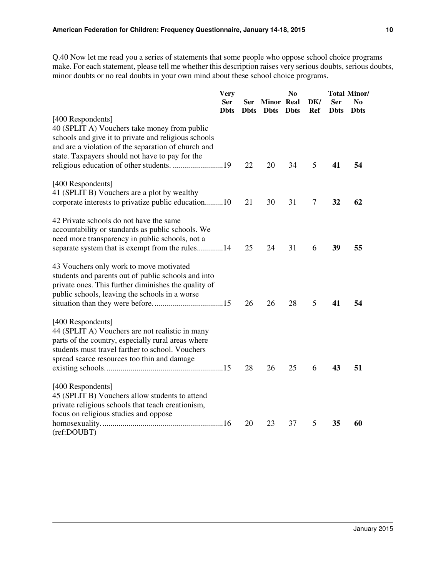Q.40 Now let me read you a series of statements that some people who oppose school choice programs make. For each statement, please tell me whether this description raises very serious doubts, serious doubts, minor doubts or no real doubts in your own mind about these school choice programs.

|                                                                                                                                                                                                                                     | <b>Very</b><br><b>Ser</b><br><b>Dhts</b> | Ser<br><b>D</b> bts | <b>Minor</b> Real<br><b>D</b> bts | N <sub>0</sub><br><b>D</b> bts | DK/<br>Ref | <b>Ser</b><br><b>D</b> bts | <b>Total Minor/</b><br>No<br><b>D</b> bts |
|-------------------------------------------------------------------------------------------------------------------------------------------------------------------------------------------------------------------------------------|------------------------------------------|---------------------|-----------------------------------|--------------------------------|------------|----------------------------|-------------------------------------------|
| [400 Respondents]<br>40 (SPLIT A) Vouchers take money from public<br>schools and give it to private and religious schools<br>and are a violation of the separation of church and<br>state. Taxpayers should not have to pay for the |                                          |                     |                                   |                                |            |                            |                                           |
|                                                                                                                                                                                                                                     |                                          | 22                  | 20                                | 34                             | 5          | 41                         | 54                                        |
| [400 Respondents]<br>41 (SPLIT B) Vouchers are a plot by wealthy<br>corporate interests to privatize public education10                                                                                                             |                                          | 21                  | 30                                | 31                             | $\tau$     | 32                         | 62                                        |
| 42 Private schools do not have the same<br>accountability or standards as public schools. We<br>need more transparency in public schools, not a<br>separate system that is exempt from the rules14                                  |                                          | 25                  | 24                                | 31                             | 6          | 39                         | 55                                        |
| 43 Vouchers only work to move motivated<br>students and parents out of public schools and into<br>private ones. This further diminishes the quality of<br>public schools, leaving the schools in a worse                            |                                          | 26                  | 26                                | 28                             | 5          | 41                         | 54                                        |
| [400 Respondents]<br>44 (SPLIT A) Vouchers are not realistic in many<br>parts of the country, especially rural areas where<br>students must travel farther to school. Vouchers<br>spread scarce resources too thin and damage       |                                          | 28                  | 26                                | 25                             | 6          | 43                         | 51                                        |
| [400 Respondents]<br>45 (SPLIT B) Vouchers allow students to attend<br>private religious schools that teach creationism,                                                                                                            |                                          |                     |                                   |                                |            |                            |                                           |
| focus on religious studies and oppose<br>(ref:DOUBT)                                                                                                                                                                                |                                          | 20                  | 23                                | 37                             | 5          | 35                         | 60                                        |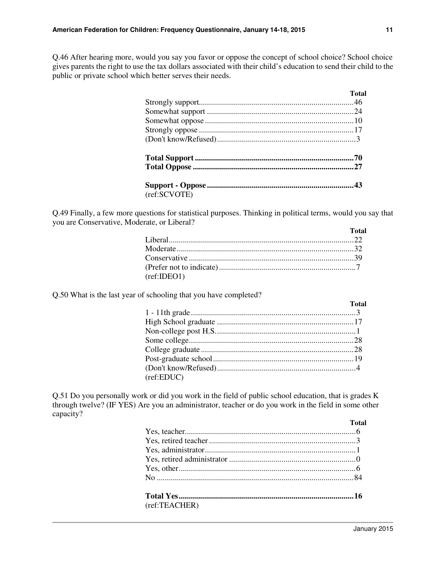Q.46 After hearing more, would you say you favor or oppose the concept of school choice? School choice gives parents the right to use the tax dollars associated with their child's education to send their child to the public or private school which better serves their needs.

|              | Total |
|--------------|-------|
|              |       |
|              |       |
|              |       |
|              |       |
|              |       |
|              |       |
|              |       |
|              |       |
| (ref:SCVOTE) |       |

Q.49 Finally, a few more questions for statistical purposes. Thinking in political terms, would you say that you are Conservative, Moderate, or Liberal?

|             | Total |
|-------------|-------|
|             |       |
|             |       |
|             |       |
|             |       |
| (ref:IDEO1) |       |

Q.50 What is the last year of schooling that you have completed?

|            | <b>Total</b> |
|------------|--------------|
|            |              |
|            |              |
|            |              |
|            |              |
|            |              |
|            |              |
|            |              |
| (ref:EDUC) |              |

Q.51 Do you personally work or did you work in the field of public school education, that is grades K through twelve? (IF YES) Are you an administrator, teacher or do you work in the field in some other capacity?

|               | Total |
|---------------|-------|
|               |       |
|               |       |
|               |       |
|               |       |
|               |       |
|               |       |
|               |       |
| (ref:TEACHER) |       |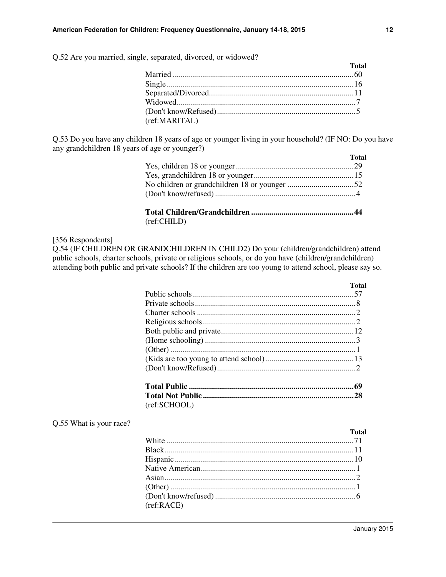Q.52 Are you married, single, separated, divorced, or widowed?

|               | <b>Total</b> |
|---------------|--------------|
|               |              |
|               |              |
|               |              |
|               |              |
|               |              |
| (ref:MARITAL) |              |

Q.53 Do you have any children 18 years of age or younger living in your household? (IF NO: Do you have any grandchildren 18 years of age or younger?)

|                                           | <b>Total</b> |
|-------------------------------------------|--------------|
|                                           |              |
|                                           |              |
|                                           |              |
|                                           |              |
| $\sim$ $\sim$ $\sim$ $\sim$ $\sim$ $\sim$ |              |

(ref:CHILD)

#### [356 Respondents]

Q.54 (IF CHILDREN OR GRANDCHILDREN IN CHILD2) Do your (children/grandchildren) attend public schools, charter schools, private or religious schools, or do you have (children/grandchildren) attending both public and private schools? If the children are too young to attend school, please say so.

|              | Total |
|--------------|-------|
|              |       |
|              |       |
|              |       |
|              |       |
|              |       |
|              |       |
|              |       |
|              |       |
|              |       |
|              |       |
|              |       |
| (ref:SCHOOL) |       |

#### Q.55 What is your race?

| (ref:RACE) |  |
|------------|--|
|            |  |

**Total**